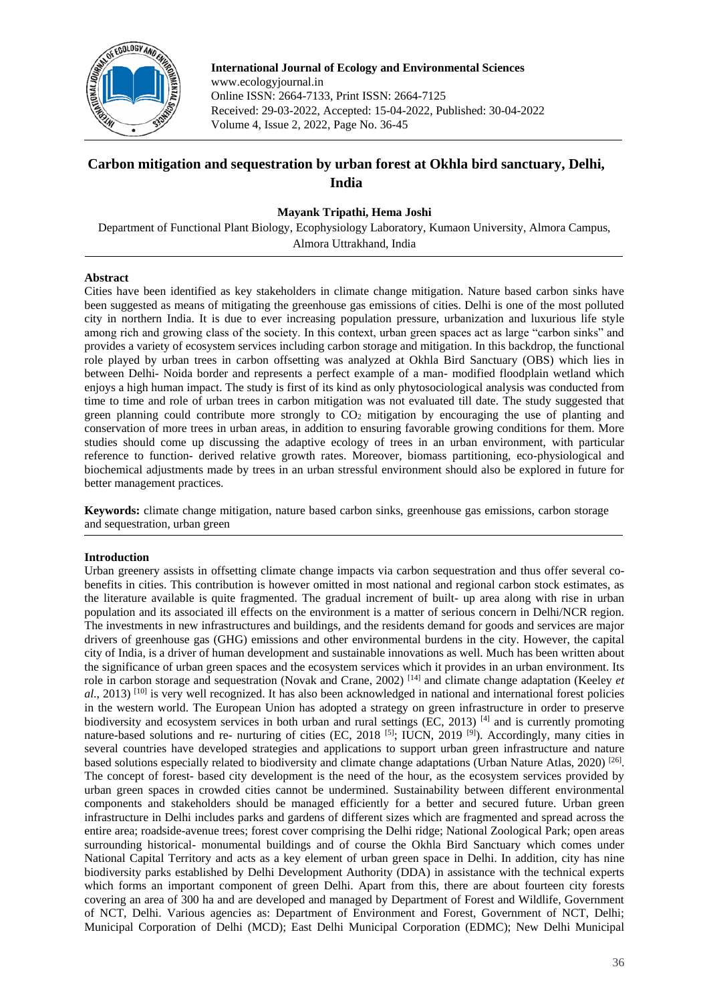

**International Journal of Ecology and Environmental Sciences** www.ecologyjournal.in Online ISSN: 2664-7133, Print ISSN: 2664-7125 Received: 29-03-2022, Accepted: 15-04-2022, Published: 30-04-2022 Volume 4, Issue 2, 2022, Page No. 36-45

# **Carbon mitigation and sequestration by urban forest at Okhla bird sanctuary, Delhi, India**

# **Mayank Tripathi, Hema Joshi**

Department of Functional Plant Biology, Ecophysiology Laboratory, Kumaon University, Almora Campus, Almora Uttrakhand, India

# **Abstract**

Cities have been identified as key stakeholders in climate change mitigation. Nature based carbon sinks have been suggested as means of mitigating the greenhouse gas emissions of cities. Delhi is one of the most polluted city in northern India. It is due to ever increasing population pressure, urbanization and luxurious life style among rich and growing class of the society. In this context, urban green spaces act as large "carbon sinks" and provides a variety of ecosystem services including carbon storage and mitigation. In this backdrop, the functional role played by urban trees in carbon offsetting was analyzed at Okhla Bird Sanctuary (OBS) which lies in between Delhi- Noida border and represents a perfect example of a man- modified floodplain wetland which enjoys a high human impact. The study is first of its kind as only phytosociological analysis was conducted from time to time and role of urban trees in carbon mitigation was not evaluated till date. The study suggested that green planning could contribute more strongly to  $CO<sub>2</sub>$  mitigation by encouraging the use of planting and conservation of more trees in urban areas, in addition to ensuring favorable growing conditions for them. More studies should come up discussing the adaptive ecology of trees in an urban environment, with particular reference to function- derived relative growth rates. Moreover, biomass partitioning, eco-physiological and biochemical adjustments made by trees in an urban stressful environment should also be explored in future for better management practices.

**Keywords:** climate change mitigation, nature based carbon sinks, greenhouse gas emissions, carbon storage and sequestration, urban green

# **Introduction**

Urban greenery assists in offsetting climate change impacts via carbon sequestration and thus offer several cobenefits in cities. This contribution is however omitted in most national and regional carbon stock estimates, as the literature available is quite fragmented. The gradual increment of built- up area along with rise in urban population and its associated ill effects on the environment is a matter of serious concern in Delhi/NCR region. The investments in new infrastructures and buildings, and the residents demand for goods and services are major drivers of greenhouse gas (GHG) emissions and other environmental burdens in the city. However, the capital city of India, is a driver of human development and sustainable innovations as well. Much has been written about the significance of urban green spaces and the ecosystem services which it provides in an urban environment. Its role in carbon storage and sequestration (Novak and Crane, 2002)<sup>[14]</sup> and climate change adaptation (Keeley *et al*., 2013) [10] is very well recognized. It has also been acknowledged in national and international forest policies in the western world. The European Union has adopted a strategy on green infrastructure in order to preserve biodiversity and ecosystem services in both urban and rural settings (EC, 2013)<sup>[4]</sup> and is currently promoting nature-based solutions and re- nurturing of cities (EC, 2018 <sup>[5]</sup>; IUCN, 2019 <sup>[9]</sup>). Accordingly, many cities in several countries have developed strategies and applications to support urban green infrastructure and nature based solutions especially related to biodiversity and climate change adaptations (Urban Nature Atlas, 2020)  $^{[26]}$ . The concept of forest- based city development is the need of the hour, as the ecosystem services provided by urban green spaces in crowded cities cannot be undermined. Sustainability between different environmental components and stakeholders should be managed efficiently for a better and secured future. Urban green infrastructure in Delhi includes parks and gardens of different sizes which are fragmented and spread across the entire area; roadside-avenue trees; forest cover comprising the Delhi ridge; National Zoological Park; open areas surrounding historical- monumental buildings and of course the Okhla Bird Sanctuary which comes under National Capital Territory and acts as a key element of urban green space in Delhi. In addition, city has nine biodiversity parks established by Delhi Development Authority (DDA) in assistance with the technical experts which forms an important component of green Delhi. Apart from this, there are about fourteen city forests covering an area of 300 ha and are developed and managed by Department of Forest and Wildlife, Government of NCT, Delhi. Various agencies as: Department of Environment and Forest, Government of NCT, Delhi; Municipal Corporation of Delhi (MCD); East Delhi Municipal Corporation (EDMC); New Delhi Municipal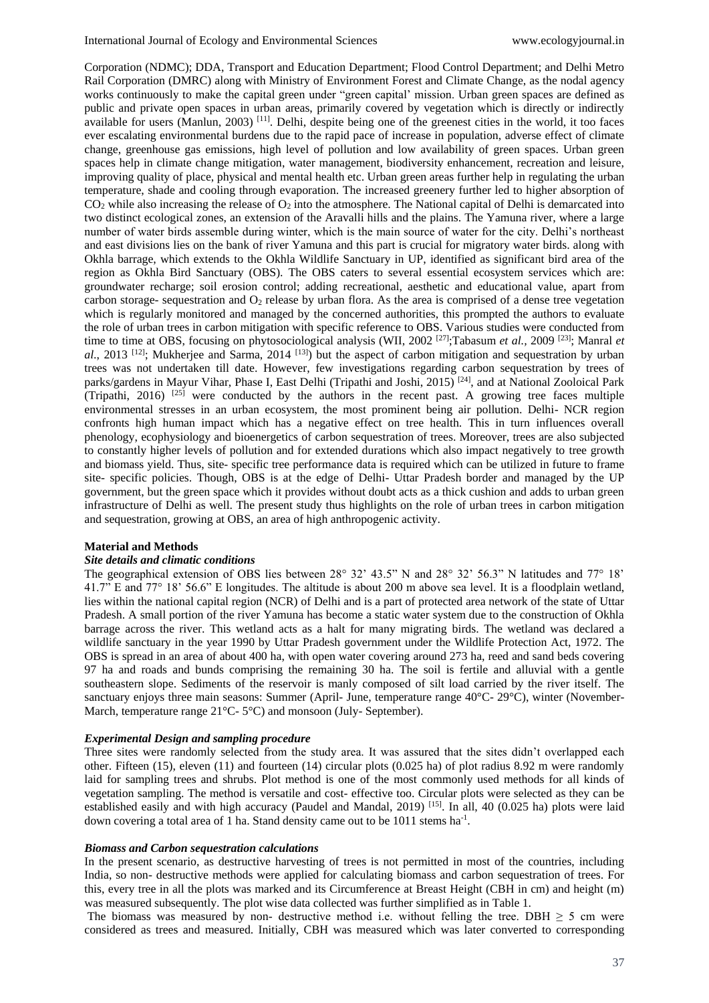Corporation (NDMC); DDA, Transport and Education Department; Flood Control Department; and Delhi Metro Rail Corporation (DMRC) along with Ministry of Environment Forest and Climate Change, as the nodal agency works continuously to make the capital green under "green capital' mission. Urban green spaces are defined as public and private open spaces in urban areas, primarily covered by vegetation which is directly or indirectly available for users (Manlun, 2003) <sup>[11]</sup>. Delhi, despite being one of the greenest cities in the world, it too faces ever escalating environmental burdens due to the rapid pace of increase in population, adverse effect of climate change, greenhouse gas emissions, high level of pollution and low availability of green spaces. Urban green spaces help in climate change mitigation, water management, biodiversity enhancement, recreation and leisure, improving quality of place, physical and mental health etc. Urban green areas further help in regulating the urban temperature, shade and cooling through evaporation. The increased greenery further led to higher absorption of  $CO<sub>2</sub>$  while also increasing the release of  $O<sub>2</sub>$  into the atmosphere. The National capital of Delhi is demarcated into two distinct ecological zones, an extension of the Aravalli hills and the plains. The Yamuna river, where a large number of water birds assemble during winter, which is the main source of water for the city. Delhi's northeast and east divisions lies on the bank of river Yamuna and this part is crucial for migratory water birds. along with Okhla barrage, which extends to the Okhla Wildlife Sanctuary in UP, identified as significant bird area of the region as Okhla Bird Sanctuary (OBS). The OBS caters to several essential ecosystem services which are: groundwater recharge; soil erosion control; adding recreational, aesthetic and educational value, apart from carbon storage- sequestration and  $O_2$  release by urban flora. As the area is comprised of a dense tree vegetation which is regularly monitored and managed by the concerned authorities, this prompted the authors to evaluate the role of urban trees in carbon mitigation with specific reference to OBS. Various studies were conducted from time to time at OBS, focusing on phytosociological analysis (WII, 2002<sup>[27]</sup>;Tabasum *et al.*, 2009<sup>[23]</sup>; Manral *et al*., 2013 [12]; Mukherjee and Sarma, 2014 [13]) but the aspect of carbon mitigation and sequestration by urban trees was not undertaken till date. However, few investigations regarding carbon sequestration by trees of parks/gardens in Mayur Vihar, Phase I, East Delhi (Tripathi and Joshi, 2015)<sup>[24]</sup>, and at National Zooloical Park (Tripathi, 2016)  $[25]$  were conducted by the authors in the recent past. A growing tree faces multiple environmental stresses in an urban ecosystem, the most prominent being air pollution. Delhi- NCR region confronts high human impact which has a negative effect on tree health. This in turn influences overall phenology, ecophysiology and bioenergetics of carbon sequestration of trees. Moreover, trees are also subjected to constantly higher levels of pollution and for extended durations which also impact negatively to tree growth and biomass yield. Thus, site- specific tree performance data is required which can be utilized in future to frame site- specific policies. Though, OBS is at the edge of Delhi- Uttar Pradesh border and managed by the UP government, but the green space which it provides without doubt acts as a thick cushion and adds to urban green infrastructure of Delhi as well. The present study thus highlights on the role of urban trees in carbon mitigation and sequestration, growing at OBS, an area of high anthropogenic activity.

# **Material and Methods**

#### *Site details and climatic conditions*

The geographical extension of OBS lies between 28° 32' 43.5" N and 28° 32' 56.3" N latitudes and 77° 18' 41.7" E and 77° 18' 56.6" E longitudes. The altitude is about 200 m above sea level. It is a floodplain wetland, lies within the national capital region (NCR) of Delhi and is a part of protected area network of the state of Uttar Pradesh. A small portion of the river Yamuna has become a static water system due to the construction of Okhla barrage across the river. This wetland acts as a halt for many migrating birds. The wetland was declared a wildlife sanctuary in the year 1990 by Uttar Pradesh government under the Wildlife Protection Act, 1972. The OBS is spread in an area of about 400 ha, with open water covering around 273 ha, reed and sand beds covering 97 ha and roads and bunds comprising the remaining 30 ha. The soil is fertile and alluvial with a gentle southeastern slope. Sediments of the reservoir is manly composed of silt load carried by the river itself. The sanctuary enjoys three main seasons: Summer (April- June, temperature range 40°C- 29°C), winter (November-March, temperature range 21°C- 5°C) and monsoon (July- September).

# *Experimental Design and sampling procedure*

Three sites were randomly selected from the study area. It was assured that the sites didn't overlapped each other. Fifteen (15), eleven (11) and fourteen (14) circular plots (0.025 ha) of plot radius 8.92 m were randomly laid for sampling trees and shrubs. Plot method is one of the most commonly used methods for all kinds of vegetation sampling. The method is versatile and cost- effective too. Circular plots were selected as they can be established easily and with high accuracy (Paudel and Mandal, 2019) <sup>[15]</sup>. In all, 40 (0.025 ha) plots were laid down covering a total area of 1 ha. Stand density came out to be 1011 stems ha<sup>-1</sup>.

#### *Biomass and Carbon sequestration calculations*

In the present scenario, as destructive harvesting of trees is not permitted in most of the countries, including India, so non- destructive methods were applied for calculating biomass and carbon sequestration of trees. For this, every tree in all the plots was marked and its Circumference at Breast Height (CBH in cm) and height (m) was measured subsequently. The plot wise data collected was further simplified as in Table 1.

The biomass was measured by non- destructive method i.e. without felling the tree. DBH  $\geq$  5 cm were considered as trees and measured. Initially, CBH was measured which was later converted to corresponding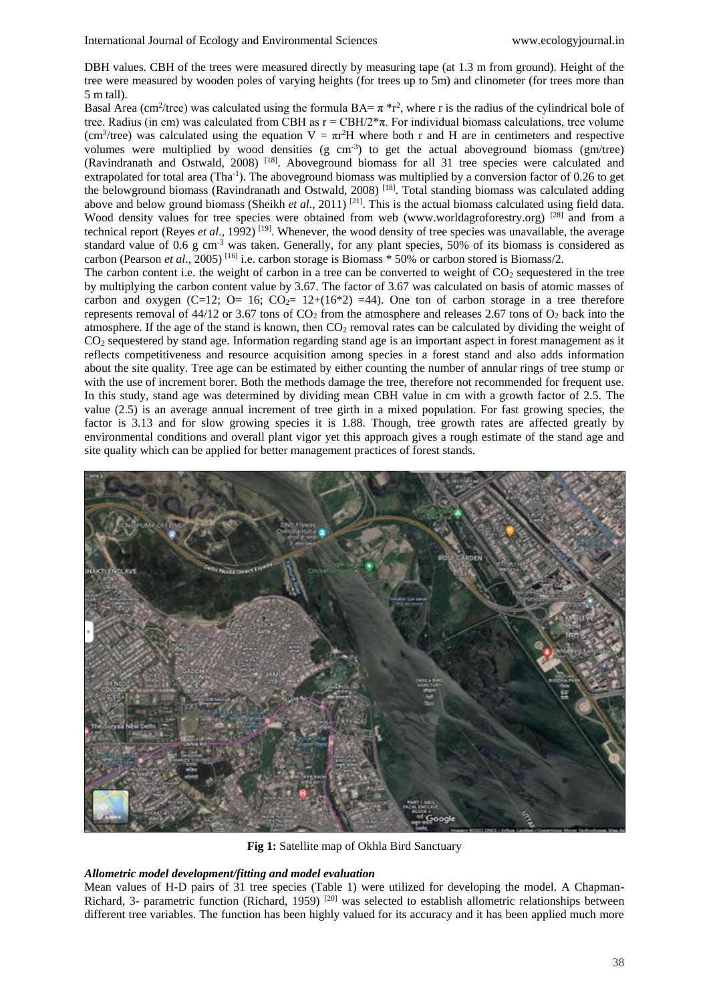DBH values. CBH of the trees were measured directly by measuring tape (at 1.3 m from ground). Height of the tree were measured by wooden poles of varying heights (for trees up to 5m) and clinometer (for trees more than 5 m tall).

Basal Area (cm<sup>2</sup>/tree) was calculated using the formula  $BA = \pi *r^2$ , where r is the radius of the cylindrical bole of tree. Radius (in cm) was calculated from CBH as  $r = CBH/2*\pi$ . For individual biomass calculations, tree volume (cm<sup>3</sup>/tree) was calculated using the equation  $V = \pi r^2 H$  where both r and H are in centimeters and respective volumes were multiplied by wood densities  $(g \text{ cm}^{-3})$  to get the actual aboveground biomass  $(gm/\text{tree})$ (Ravindranath and Ostwald, 2008) [18]. Aboveground biomass for all 31 tree species were calculated and extrapolated for total area (Tha<sup>-1</sup>). The aboveground biomass was multiplied by a conversion factor of 0.26 to get the belowground biomass (Ravindranath and Ostwald, 2008)<sup>[18]</sup>. Total standing biomass was calculated adding above and below ground biomass (Sheikh *et al.*, 2011)<sup>[21]</sup>. This is the actual biomass calculated using field data. Wood density values for tree species were obtained from web (www.worldagroforestry.org) <sup>[28]</sup> and from a technical report (Reyes et al., 1992)<sup>[19]</sup>. Whenever, the wood density of tree species was unavailable, the average standard value of 0.6 g cm<sup>-3</sup> was taken. Generally, for any plant species, 50% of its biomass is considered as carbon (Pearson *et al*., 2005) [16] i.e. carbon storage is Biomass \* 50% or carbon stored is Biomass/2.

The carbon content i.e. the weight of carbon in a tree can be converted to weight of  $CO<sub>2</sub>$  sequestered in the tree by multiplying the carbon content value by 3.67. The factor of 3.67 was calculated on basis of atomic masses of carbon and oxygen (C=12; O= 16; CO<sub>2</sub>=  $12+(16*2)$  =44). One ton of carbon storage in a tree therefore represents removal of 44/12 or 3.67 tons of  $CO<sub>2</sub>$  from the atmosphere and releases 2.67 tons of  $O<sub>2</sub>$  back into the atmosphere. If the age of the stand is known, then  $CO<sub>2</sub>$  removal rates can be calculated by dividing the weight of CO<sup>2</sup> sequestered by stand age. Information regarding stand age is an important aspect in forest management as it reflects competitiveness and resource acquisition among species in a forest stand and also adds information about the site quality. Tree age can be estimated by either counting the number of annular rings of tree stump or with the use of increment borer. Both the methods damage the tree, therefore not recommended for frequent use. In this study, stand age was determined by dividing mean CBH value in cm with a growth factor of 2.5. The value (2.5) is an average annual increment of tree girth in a mixed population. For fast growing species, the factor is 3.13 and for slow growing species it is 1.88. Though, tree growth rates are affected greatly by environmental conditions and overall plant vigor yet this approach gives a rough estimate of the stand age and site quality which can be applied for better management practices of forest stands.



**Fig 1:** Satellite map of Okhla Bird Sanctuary

# *Allometric model development/fitting and model evaluation*

Mean values of H-D pairs of 31 tree species (Table 1) were utilized for developing the model. A Chapman-Richard, 3- parametric function (Richard, 1959)<sup>[20]</sup> was selected to establish allometric relationships between different tree variables. The function has been highly valued for its accuracy and it has been applied much more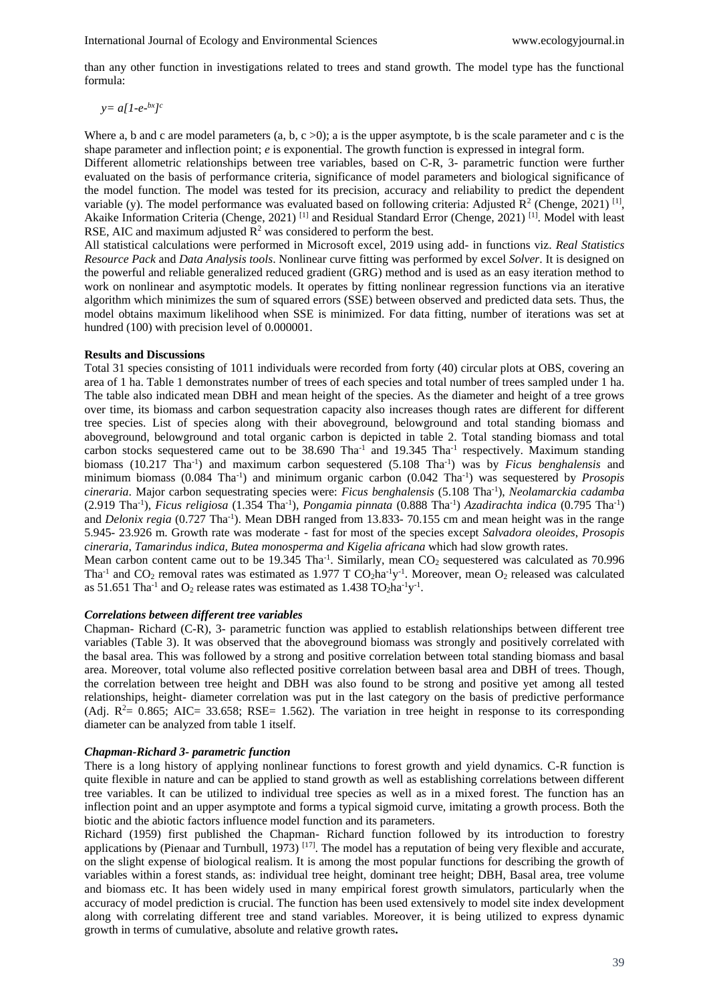than any other function in investigations related to trees and stand growth. The model type has the functional formula:

*y= a[1-e-bx] c*

Where a, b and c are model parameters (a, b, c  $>0$ ); a is the upper asymptote, b is the scale parameter and c is the shape parameter and inflection point; *e* is exponential. The growth function is expressed in integral form.

Different allometric relationships between tree variables, based on C-R, 3- parametric function were further evaluated on the basis of performance criteria, significance of model parameters and biological significance of the model function. The model was tested for its precision, accuracy and reliability to predict the dependent variable (y). The model performance was evaluated based on following criteria: Adjusted  $\mathbb{R}^2$  (Chenge, 2021) [1], Akaike Information Criteria (Chenge, 2021)<sup>[1]</sup> and Residual Standard Error (Chenge, 2021)<sup>[1]</sup>. Model with least RSE, AIC and maximum adjusted  $R^2$  was considered to perform the best.

All statistical calculations were performed in Microsoft excel, 2019 using add- in functions viz. *Real Statistics Resource Pack* and *Data Analysis tools*. Nonlinear curve fitting was performed by excel *Solver*. It is designed on the powerful and reliable generalized reduced gradient (GRG) method and is used as an easy iteration method to work on nonlinear and asymptotic models. It operates by fitting nonlinear regression functions via an iterative algorithm which minimizes the sum of squared errors (SSE) between observed and predicted data sets. Thus, the model obtains maximum likelihood when SSE is minimized. For data fitting, number of iterations was set at hundred (100) with precision level of 0.000001.

#### **Results and Discussions**

Total 31 species consisting of 1011 individuals were recorded from forty (40) circular plots at OBS, covering an area of 1 ha. Table 1 demonstrates number of trees of each species and total number of trees sampled under 1 ha. The table also indicated mean DBH and mean height of the species. As the diameter and height of a tree grows over time, its biomass and carbon sequestration capacity also increases though rates are different for different tree species. List of species along with their aboveground, belowground and total standing biomass and aboveground, belowground and total organic carbon is depicted in table 2. Total standing biomass and total carbon stocks sequestered came out to be 38.690 Tha<sup>-1</sup> and 19.345 Tha<sup>-1</sup> respectively. Maximum standing biomass (10.217 Tha<sup>-1</sup>) and maximum carbon sequestered (5.108 Tha<sup>-1</sup>) was by *Ficus benghalensis* and minimum biomass (0.084 Tha<sup>-1</sup>) and minimum organic carbon (0.042 Tha<sup>-1</sup>) was sequestered by *Prosopis cineraria*. Major carbon sequestrating species were: *Ficus benghalensis* (5.108 Tha-1 ), *Neolamarckia cadamba* (2.919 Tha-1 ), *Ficus religiosa* (1.354 Tha-1 ), *Pongamia pinnata* (0.888 Tha-1 ) *Azadirachta indica* (0.795 Tha-1 ) and *Delonix regia* (0.727 Tha<sup>-1</sup>). Mean DBH ranged from 13.833-70.155 cm and mean height was in the range 5.945- 23.926 m. Growth rate was moderate - fast for most of the species except *Salvadora oleoides*, *Prosopis cineraria*, *Tamarindus indica, Butea monosperma and Kigelia africana* which had slow growth rates.

Mean carbon content came out to be  $19.345$  Tha<sup>-1</sup>. Similarly, mean  $CO_2$  sequestered was calculated as 70.996 Tha<sup>-1</sup> and  $CO_2$  removal rates was estimated as 1.977 T  $CO_2$ ha<sup>-1</sup>y<sup>-1</sup>. Moreover, mean  $O_2$  released was calculated as 51.651 Tha<sup>-1</sup> and  $O_2$  release rates was estimated as 1.438 TO<sub>2</sub>ha<sup>-1</sup>y<sup>-1</sup>.

# *Correlations between different tree variables*

Chapman- Richard (C-R), 3- parametric function was applied to establish relationships between different tree variables (Table 3). It was observed that the aboveground biomass was strongly and positively correlated with the basal area. This was followed by a strong and positive correlation between total standing biomass and basal area. Moreover, total volume also reflected positive correlation between basal area and DBH of trees. Though, the correlation between tree height and DBH was also found to be strong and positive yet among all tested relationships, height- diameter correlation was put in the last category on the basis of predictive performance (Adj.  $R^2 = 0.865$ ; AIC= 33.658; RSE= 1.562). The variation in tree height in response to its corresponding diameter can be analyzed from table 1 itself.

# *Chapman-Richard 3- parametric function*

There is a long history of applying nonlinear functions to forest growth and yield dynamics. C-R function is quite flexible in nature and can be applied to stand growth as well as establishing correlations between different tree variables. It can be utilized to individual tree species as well as in a mixed forest. The function has an inflection point and an upper asymptote and forms a typical sigmoid curve, imitating a growth process. Both the biotic and the abiotic factors influence model function and its parameters.

Richard (1959) first published the Chapman- Richard function followed by its introduction to forestry applications by (Pienaar and Turnbull, 1973)  $[17]$ . The model has a reputation of being very flexible and accurate, on the slight expense of biological realism. It is among the most popular functions for describing the growth of variables within a forest stands, as: individual tree height, dominant tree height; DBH, Basal area, tree volume and biomass etc. It has been widely used in many empirical forest growth simulators, particularly when the accuracy of model prediction is crucial. The function has been used extensively to model site index development along with correlating different tree and stand variables. Moreover, it is being utilized to express dynamic growth in terms of cumulative, absolute and relative growth rates**.**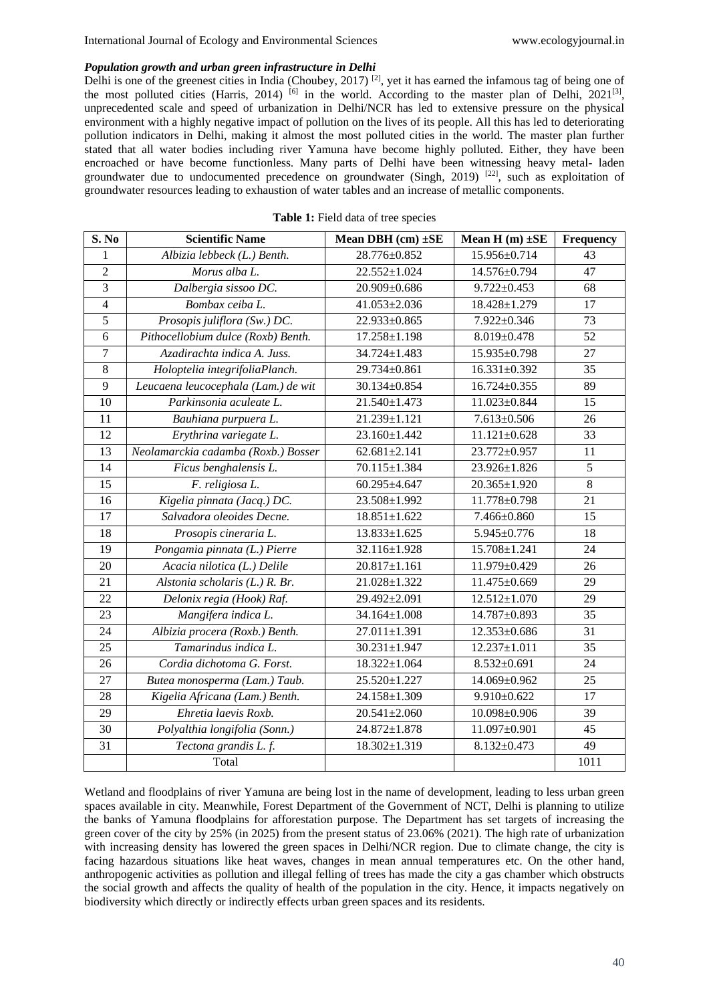# *Population growth and urban green infrastructure in Delhi*

Delhi is one of the greenest cities in India (Choubey, 2017) [2], yet it has earned the infamous tag of being one of the most polluted cities (Harris, 2014)  $^{[6]}$  in the world. According to the master plan of Delhi, 2021<sup>[3]</sup>, unprecedented scale and speed of urbanization in Delhi/NCR has led to extensive pressure on the physical environment with a highly negative impact of pollution on the lives of its people. All this has led to deteriorating pollution indicators in Delhi, making it almost the most polluted cities in the world. The master plan further stated that all water bodies including river Yamuna have become highly polluted. Either, they have been encroached or have become functionless. Many parts of Delhi have been witnessing heavy metal- laden groundwater due to undocumented precedence on groundwater (Singh, 2019) <sup>[22]</sup>, such as exploitation of groundwater resources leading to exhaustion of water tables and an increase of metallic components.

| Table 1: Field data of tree species |  |  |
|-------------------------------------|--|--|
|                                     |  |  |

| S. No           | <b>Scientific Name</b>              | Mean DBH $(cm) \pm SE$ | Mean H (m) $\pm$ SE | Frequency       |
|-----------------|-------------------------------------|------------------------|---------------------|-----------------|
| 1               | Albizia lebbeck (L.) Benth.         | 28.776±0.852           | 15.956±0.714        | 43              |
| $\overline{2}$  | Morus alba L.                       | $22.552 \pm 1.024$     | 14.576±0.794        | 47              |
| $\overline{3}$  | Dalbergia sissoo DC.                | 20.909±0.686           | $9.722 \pm 0.453$   | 68              |
| $\overline{4}$  | Bombax ceiba L.                     | $41.053 \pm 2.036$     | 18.428±1.279        | 17              |
| $\overline{5}$  | Prosopis juliflora (Sw.) DC.        | $22.933 \pm 0.865$     | 7.922±0.346         | $\overline{73}$ |
| 6               | Pithocellobium dulce (Roxb) Benth.  | $17.258 \pm 1.198$     | $8.019 \pm 0.478$   | 52              |
| $\tau$          | Azadirachta indica A. Juss.         | 34.724±1.483           | 15.935±0.798        | 27              |
| $\,8\,$         | Holoptelia integrifoliaPlanch.      | 29.734±0.861           | $16.331 \pm 0.392$  | 35              |
| 9               | Leucaena leucocephala (Lam.) de wit | 30.134±0.854           | $16.724 \pm 0.355$  | 89              |
| 10              | Parkinsonia aculeate L.             | 21.540±1.473           | 11.023±0.844        | 15              |
| 11              | Bauhiana purpuera L.                | 21.239±1.121           | $7.613 \pm 0.506$   | 26              |
| 12              | Erythrina variegate L.              | 23.160±1.442           | $11.121 \pm 0.628$  | 33              |
| 13              | Neolamarckia cadamba (Roxb.) Bosser | $62.681 \pm 2.141$     | 23.772±0.957        | 11              |
| 14              | Ficus benghalensis L.               | 70.115±1.384           | 23.926±1.826        | $\overline{5}$  |
| 15              | F. religiosa L.                     | $60.295 \pm 4.647$     | $20.365 \pm 1.920$  | 8               |
| 16              | Kigelia pinnata (Jacq.) DC.         | 23.508±1.992           | 11.778±0.798        | 21              |
| $\overline{17}$ | Salvadora oleoides Decne.           | $18.851 \pm 1.622$     | $7.466 \pm 0.860$   | 15              |
| 18              | Prosopis cineraria L.               | $13.833 \pm 1.625$     | $5.945 \pm 0.776$   | 18              |
| 19              | Pongamia pinnata (L.) Pierre        | 32.116±1.928           | 15.708±1.241        | 24              |
| 20              | Acacia nilotica (L.) Delile         | $20.817 \pm 1.161$     | 11.979±0.429        | 26              |
| 21              | Alstonia scholaris (L.) R. Br.      | $21.028 \pm 1.322$     | 11.475±0.669        | 29              |
| 22              | Delonix regia (Hook) Raf.           | 29.492±2.091           | $12.512 \pm 1.070$  | 29              |
| 23              | Mangifera indica L.                 | $34.164 \pm 1.008$     | 14.787±0.893        | 35              |
| 24              | Albizia procera (Roxb.) Benth.      | $27.011 \pm 1.391$     | 12.353±0.686        | 31              |
| 25              | Tamarindus indica L.                | $30.231 \pm 1.947$     | $12.237 \pm 1.011$  | 35              |
| 26              | Cordia dichotoma G. Forst.          | $18.322 \pm 1.064$     | $8.532 \pm 0.691$   | 24              |
| 27              | Butea monosperma (Lam.) Taub.       | 25.520±1.227           | 14.069±0.962        | 25              |
| 28              | Kigelia Africana (Lam.) Benth.      | 24.158±1.309           | $9.910 \pm 0.622$   | 17              |
| 29              | Ehretia laevis Roxb.                | $20.541 \pm 2.060$     | 10.098±0.906        | 39              |
| 30              | Polyalthia longifolia (Sonn.)       | $24.872 \pm 1.878$     | 11.097±0.901        | 45              |
| 31              | Tectona grandis L. f.               | $18.302 \pm 1.319$     | $8.132 \pm 0.473$   | 49              |
|                 | Total                               |                        |                     | 1011            |

Wetland and floodplains of river Yamuna are being lost in the name of development, leading to less urban green spaces available in city. Meanwhile, Forest Department of the Government of NCT, Delhi is planning to utilize the banks of Yamuna floodplains for afforestation purpose. The Department has set targets of increasing the green cover of the city by 25% (in 2025) from the present status of 23.06% (2021). The high rate of urbanization with increasing density has lowered the green spaces in Delhi/NCR region. Due to climate change, the city is facing hazardous situations like heat waves, changes in mean annual temperatures etc. On the other hand, anthropogenic activities as pollution and illegal felling of trees has made the city a gas chamber which obstructs the social growth and affects the quality of health of the population in the city. Hence, it impacts negatively on biodiversity which directly or indirectly effects urban green spaces and its residents.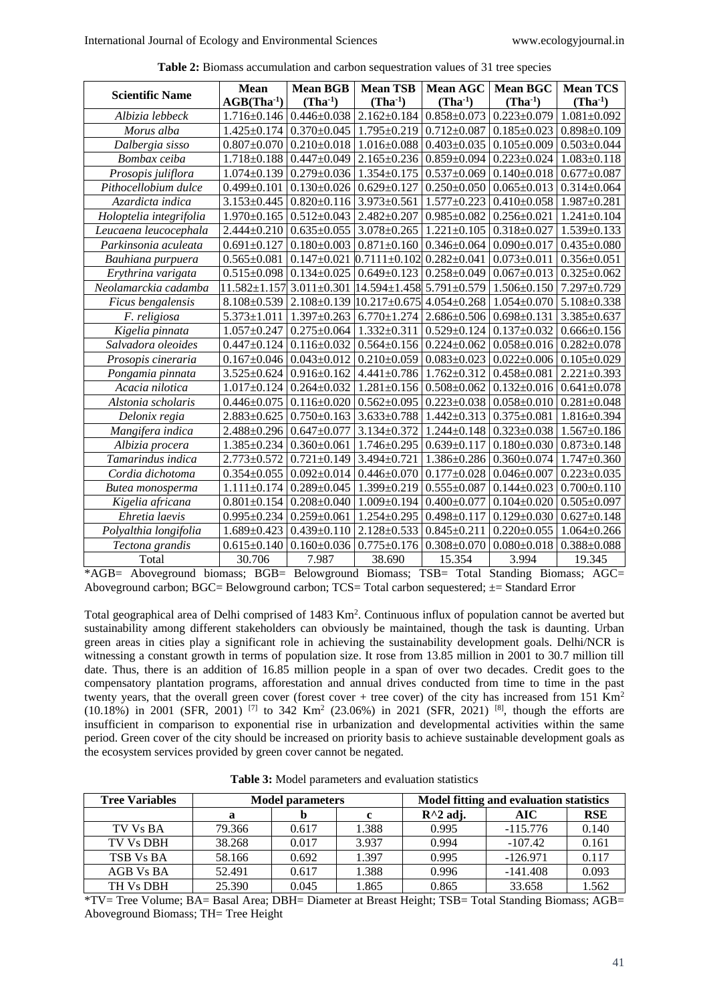| <b>Scientific Name</b>  | <b>Mean</b>        | <b>Mean BGB</b>   | <b>Mean TSB</b>                      | Mean AGC                            | <b>Mean BGC</b>   | <b>Mean TCS</b>   |
|-------------------------|--------------------|-------------------|--------------------------------------|-------------------------------------|-------------------|-------------------|
|                         | $AGB(Tha-1)$       | $(Tha-1)$         | $(Tha-1)$                            | $(Tha-1)$                           | $(Tha-1)$         | $(Tha^{-1})$      |
| Albizia lebbeck         | $1.716 \pm 0.146$  | $0.446 \pm 0.038$ | $2.162 \pm 0.184$                    | $0.858 \pm 0.073$ 0.223 $\pm 0.079$ |                   | $1.081 \pm 0.092$ |
| Morus alba              | $1.425 \pm 0.174$  | $0.370 \pm 0.045$ | $1.795 \pm 0.219$                    | $0.712 \pm 0.087$                   | $0.185 \pm 0.023$ | $0.898 \pm 0.109$ |
| Dalbergia sisso         | $0.807 \pm 0.070$  | $0.210 \pm 0.018$ | $1.016 \pm 0.088$                    | $0.403 \pm 0.035$                   | $0.105 \pm 0.009$ | $0.503 \pm 0.044$ |
| Bombax ceiba            | $1.718 \pm 0.188$  | $0.447+0.049$     | $2.165 \pm 0.236$                    | $0.859 \pm 0.094$                   | $0.223 \pm 0.024$ | $1.083 \pm 0.118$ |
| Prosopis juliflora      | $1.074 \pm 0.139$  | $0.279 \pm 0.036$ | $1.354 \pm 0.175$                    | $0.537 \pm 0.069$                   | $0.140 \pm 0.018$ | $0.677 \pm 0.087$ |
| Pithocellobium dulce    | $0.499 \pm 0.101$  | $0.130 \pm 0.026$ | $0.629 \pm 0.127$                    | $0.250 \pm 0.050$                   | $0.065 \pm 0.013$ | $0.314 \pm 0.064$ |
| Azardicta indica        | $3.153 \pm 0.445$  | $0.820 \pm 0.116$ | $3.973 \pm 0.561$                    | $1.577 \pm 0.223$                   | $0.410 \pm 0.058$ | $1.987 \pm 0.281$ |
| Holoptelia integrifolia | $1.970 \pm 0.165$  | $0.512 \pm 0.043$ | $2.482 \pm 0.207$                    | $0.985 \pm 0.082$                   | $0.256 \pm 0.021$ | $1.241 \pm 0.104$ |
| Leucaena leucocephala   | $2.444 \pm 0.210$  | $0.635 \pm 0.055$ | $3.078 \pm 0.265$                    | $1.221 \pm 0.105$                   | $0.318 \pm 0.027$ | $1.539 \pm 0.133$ |
| Parkinsonia aculeata    | $0.691 \pm 0.127$  | $0.180 \pm 0.003$ | $0.871 \pm 0.160$                    | $0.346 \pm 0.064$                   | $0.090 \pm 0.017$ | $0.435 \pm 0.080$ |
| Bauhiana purpuera       | $0.565 \pm 0.081$  |                   | $0.147 \pm 0.021$ 0.7111 $\pm 0.102$ | $0.282 \pm 0.041$                   | $0.073 \pm 0.011$ | $0.356 \pm 0.051$ |
| Erythrina varigata      | $0.515 \pm 0.098$  | $0.134 \pm 0.025$ | $0.649 \pm 0.123$                    | $0.258 \pm 0.049$                   | $0.067 \pm 0.013$ | $0.325 \pm 0.062$ |
| Neolamarckia cadamba    | $11.582 \pm 1.157$ | $3.011 \pm 0.301$ | 14.594±1.458 5.791±0.579             |                                     | $1.506 \pm 0.150$ | $7.297 \pm 0.729$ |
| Ficus bengalensis       | $8.108 \pm 0.539$  | $2.108 \pm 0.139$ | $10.217 \pm 0.675$ 4.054 $\pm 0.268$ |                                     | $1.054 \pm 0.070$ | $5.108 \pm 0.338$ |
| F. religiosa            | $5.373 \pm 1.011$  | $1.397 \pm 0.263$ | $6.770 \pm 1.274$                    | $2.686 \pm 0.506$                   | $0.698 \pm 0.131$ | $3.385 \pm 0.637$ |
| Kigelia pinnata         | $1.057 \pm 0.247$  | $0.275 \pm 0.064$ | $1.332 \pm 0.311$                    | $0.529 \pm 0.124$                   | $0.137 \pm 0.032$ | $0.666 \pm 0.156$ |
| Salvadora oleoides      | $0.447 \pm 0.124$  | $0.116 \pm 0.032$ | $0.564 \pm 0.156$                    | $0.224 \pm 0.062$                   | $0.058 \pm 0.016$ | $0.282 \pm 0.078$ |
| Prosopis cineraria      | $0.167 \pm 0.046$  | $0.043 \pm 0.012$ | $0.210 \pm 0.059$                    | $0.083 \pm 0.023$                   | $0.022 \pm 0.006$ | $0.105 \pm 0.029$ |
| Pongamia pinnata        | $3.525 \pm 0.624$  | $0.916 \pm 0.162$ | $4.441 \pm 0.786$                    | $1.762 \pm 0.312$                   | $0.458 \pm 0.081$ | $2.221 \pm 0.393$ |
| Acacia nilotica         | $1.017 \pm 0.124$  | $0.264 \pm 0.032$ | $1.281 \pm 0.156$                    | $0.508 \pm 0.062$                   | $0.132 \pm 0.016$ | $0.641 \pm 0.078$ |
| Alstonia scholaris      | $0.446 \pm 0.075$  | $0.116 \pm 0.020$ | $0.562 \pm 0.095$                    | $0.223 \pm 0.038$                   | $0.058 \pm 0.010$ | $0.281 \pm 0.048$ |
| Delonix regia           | $2.883 \pm 0.625$  | $0.750 \pm 0.163$ | $3.633 \pm 0.788$                    | $1.442 \pm 0.313$                   | $0.375 \pm 0.081$ | $1.816 \pm 0.394$ |
| Mangifera indica        | $2.488 \pm 0.296$  | $0.647 \pm 0.077$ | $3.134 \pm 0.372$                    | $1.244 \pm 0.148$                   | $0.323 \pm 0.038$ | $1.567 \pm 0.186$ |
| Albizia procera         | $1.385 \pm 0.234$  | $0.360 \pm 0.061$ | $1.746 \pm 0.295$                    | $0.639 \pm 0.117$                   | $0.180 \pm 0.030$ | $0.873 \pm 0.148$ |
| Tamarindus indica       | $2.773 \pm 0.572$  | $0.721 \pm 0.149$ | $3.494 \pm 0.721$                    | $1.386 \pm 0.286$                   | $0.360 \pm 0.074$ | $1.747 \pm 0.360$ |
| Cordia dichotoma        | $0.354 \pm 0.055$  | $0.092 \pm 0.014$ | $0.446 \pm 0.070$                    | $0.177 + 0.028$                     | $0.046 \pm 0.007$ | $0.223 \pm 0.035$ |
| Butea monosperma        | $1.111 \pm 0.174$  | $0.289 \pm 0.045$ | $1.399 \pm 0.219$                    | $0.555 \pm 0.087$                   | $0.144 \pm 0.023$ | $0.700 \pm 0.110$ |
| Kigelia africana        | $0.801 \pm 0.154$  | $0.208 \pm 0.040$ | $1.009 \pm 0.194$                    | $0.400 \pm 0.077$                   | $0.104 \pm 0.020$ | $0.505 \pm 0.097$ |
| Ehretia laevis          | $0.995 \pm 0.234$  | $0.259 \pm 0.061$ | $1.254 \pm 0.295$                    | $0.498 \pm 0.117$                   | $0.129 \pm 0.030$ | $0.627 \pm 0.148$ |
| Polyalthia longifolia   | $1.689 \pm 0.423$  | $0.439 \pm 0.110$ | $2.128 \pm 0.533$                    | $0.845 \pm 0.211$                   | $0.220 \pm 0.055$ | $1.064 \pm 0.266$ |
| Tectona grandis         | $0.615 \pm 0.140$  | $0.160 \pm 0.036$ | $0.775 \pm 0.176$                    | $0.308 \pm 0.070$                   | $0.080 \pm 0.018$ | $0.388 \pm 0.088$ |
| Total                   | 30.706             | 7.987             | 38.690                               | 15.354                              | 3.994             | 19.345            |

**Table 2:** Biomass accumulation and carbon sequestration values of 31 tree species

\*AGB= Aboveground biomass; BGB= Belowground Biomass; TSB= Total Standing Biomass; AGC= Aboveground carbon; BGC= Belowground carbon; TCS= Total carbon sequestered; ±= Standard Error

Total geographical area of Delhi comprised of 1483 Km<sup>2</sup>. Continuous influx of population cannot be averted but sustainability among different stakeholders can obviously be maintained, though the task is daunting. Urban green areas in cities play a significant role in achieving the sustainability development goals. Delhi/NCR is witnessing a constant growth in terms of population size. It rose from 13.85 million in 2001 to 30.7 million till date. Thus, there is an addition of 16.85 million people in a span of over two decades. Credit goes to the compensatory plantation programs, afforestation and annual drives conducted from time to time in the past twenty years, that the overall green cover (forest cover + tree cover) of the city has increased from 151 Km<sup>2</sup>  $(10.18\%)$  in 2001 (SFR, 2001)<sup>[7]</sup> to 342 Km<sup>2</sup> (23.06%) in 2021 (SFR, 2021)<sup>[8]</sup>, though the efforts are insufficient in comparison to exponential rise in urbanization and developmental activities within the same period. Green cover of the city should be increased on priority basis to achieve sustainable development goals as the ecosystem services provided by green cover cannot be negated.

| <b>Tree Variables</b> | <b>Model parameters</b> |       |       | Model fitting and evaluation statistics |            |            |
|-----------------------|-------------------------|-------|-------|-----------------------------------------|------------|------------|
|                       | a                       |       |       | $R^2$ adj.                              | AIC        | <b>RSE</b> |
| TV Vs BA              | 79.366                  | 0.617 | 1.388 | 0.995                                   | $-115.776$ | 0.140      |
| TV Vs DBH             | 38.268                  | 0.017 | 3.937 | 0.994                                   | $-107.42$  | 0.161      |
| TSB Vs BA             | 58.166                  | 0.692 | 1.397 | 0.995                                   | $-126.971$ | 0.117      |
| AGB Vs BA             | 52.491                  | 0.617 | 1.388 | 0.996                                   | $-141.408$ | 0.093      |
| TH Vs DBH             | 25.390                  | 0.045 | 1.865 | 0.865                                   | 33.658     | 1.562      |

**Table 3:** Model parameters and evaluation statistics

\*TV= Tree Volume; BA= Basal Area; DBH= Diameter at Breast Height; TSB= Total Standing Biomass; AGB= Aboveground Biomass; TH= Tree Height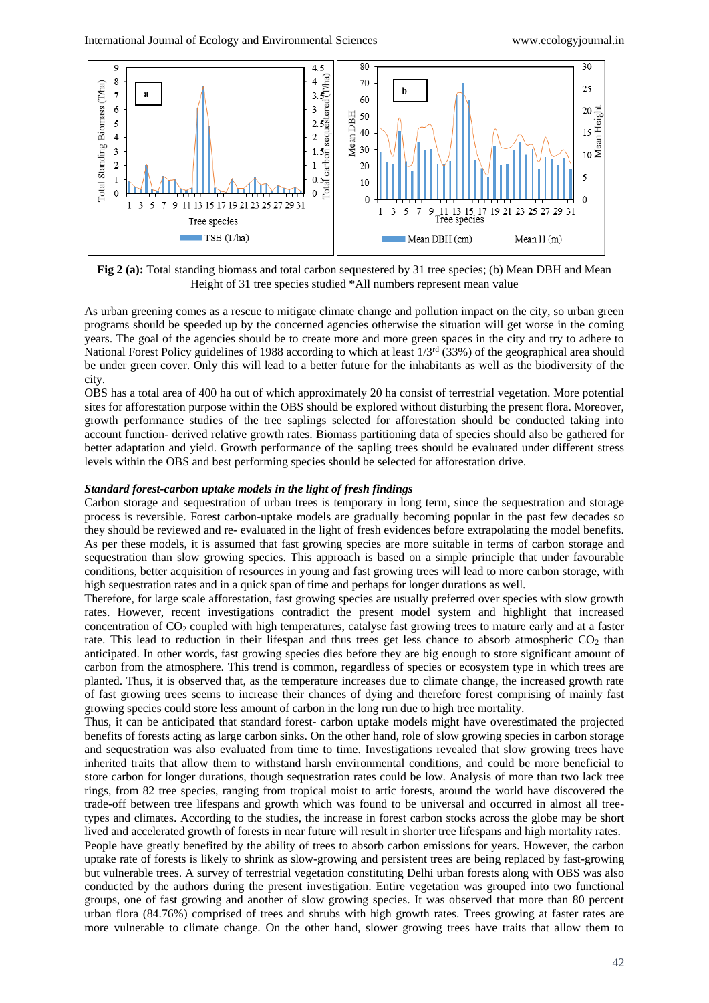

**Fig 2 (a):** Total standing biomass and total carbon sequestered by 31 tree species; (b) Mean DBH and Mean Height of 31 tree species studied \*All numbers represent mean value

As urban greening comes as a rescue to mitigate climate change and pollution impact on the city, so urban green programs should be speeded up by the concerned agencies otherwise the situation will get worse in the coming years. The goal of the agencies should be to create more and more green spaces in the city and try to adhere to National Forest Policy guidelines of 1988 according to which at least 1/3<sup>rd</sup> (33%) of the geographical area should be under green cover. Only this will lead to a better future for the inhabitants as well as the biodiversity of the city.

OBS has a total area of 400 ha out of which approximately 20 ha consist of terrestrial vegetation. More potential sites for afforestation purpose within the OBS should be explored without disturbing the present flora. Moreover, growth performance studies of the tree saplings selected for afforestation should be conducted taking into account function- derived relative growth rates. Biomass partitioning data of species should also be gathered for better adaptation and yield. Growth performance of the sapling trees should be evaluated under different stress levels within the OBS and best performing species should be selected for afforestation drive.

# *Standard forest-carbon uptake models in the light of fresh findings*

Carbon storage and sequestration of urban trees is temporary in long term, since the sequestration and storage process is reversible. Forest carbon-uptake models are gradually becoming popular in the past few decades so they should be reviewed and re- evaluated in the light of fresh evidences before extrapolating the model benefits. As per these models, it is assumed that fast growing species are more suitable in terms of carbon storage and sequestration than slow growing species. This approach is based on a simple principle that under favourable conditions, better acquisition of resources in young and fast growing trees will lead to more carbon storage, with high sequestration rates and in a quick span of time and perhaps for longer durations as well.

Therefore, for large scale afforestation, fast growing species are usually preferred over species with slow growth rates. However, recent investigations contradict the present model system and highlight that increased concentration of  $CO<sub>2</sub>$  coupled with high temperatures, catalyse fast growing trees to mature early and at a faster rate. This lead to reduction in their lifespan and thus trees get less chance to absorb atmospheric  $CO<sub>2</sub>$  than anticipated. In other words, fast growing species dies before they are big enough to store significant amount of carbon from the atmosphere. This trend is common, regardless of species or ecosystem type in which trees are planted. Thus, it is observed that, as the temperature increases due to climate change, the increased growth rate of fast growing trees seems to increase their chances of dying and therefore forest comprising of mainly fast growing species could store less amount of carbon in the long run due to high tree mortality.

Thus, it can be anticipated that standard forest- carbon uptake models might have overestimated the projected benefits of forests acting as large carbon sinks. On the other hand, role of slow growing species in carbon storage and sequestration was also evaluated from time to time. Investigations revealed that slow growing trees have inherited traits that allow them to withstand harsh environmental conditions, and could be more beneficial to store carbon for longer durations, though sequestration rates could be low. Analysis of more than two lack tree rings, from 82 tree species, ranging from tropical moist to artic forests, around the world have discovered the trade-off between tree lifespans and growth which was found to be universal and occurred in almost all treetypes and climates. According to the studies, the increase in forest carbon stocks across the globe may be short lived and accelerated growth of forests in near future will result in shorter tree lifespans and high mortality rates. People have greatly benefited by the ability of trees to absorb carbon emissions for years. However, the carbon uptake rate of forests is likely to shrink as slow-growing and persistent trees are being replaced by fast-growing but vulnerable trees. A survey of terrestrial vegetation constituting Delhi urban forests along with OBS was also conducted by the authors during the present investigation. Entire vegetation was grouped into two functional groups, one of fast growing and another of slow growing species. It was observed that more than 80 percent urban flora (84.76%) comprised of trees and shrubs with high growth rates. Trees growing at faster rates are more vulnerable to climate change. On the other hand, slower growing trees have traits that allow them to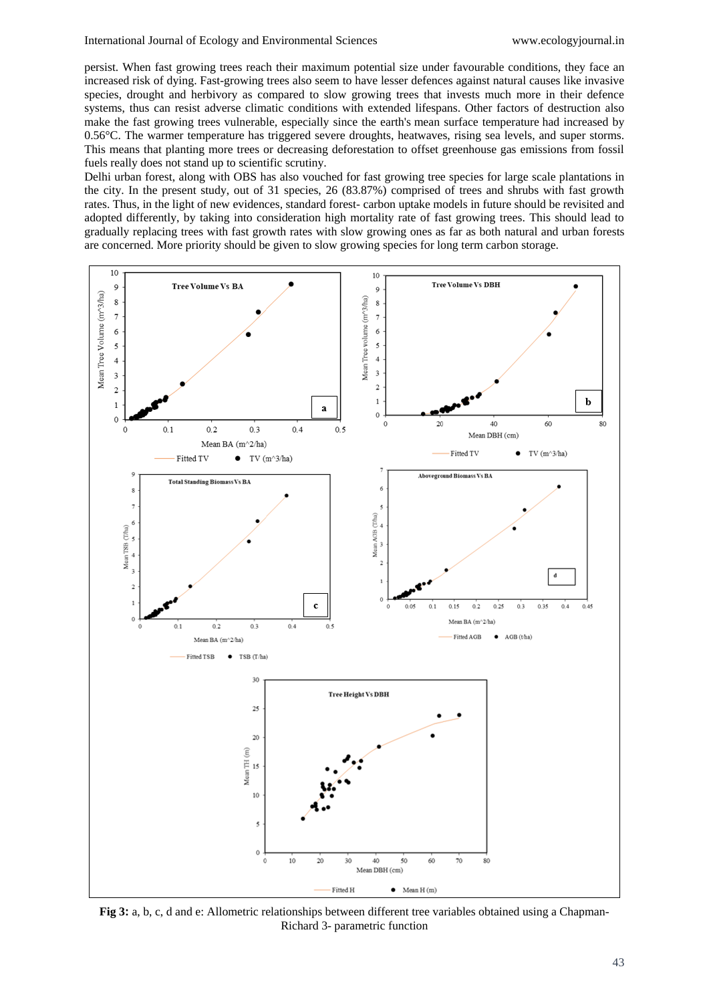persist. When fast growing trees reach their maximum potential size under favourable conditions, they face an increased risk of dying. Fast-growing trees also seem to have lesser defences against natural causes like invasive species, drought and herbivory as compared to slow growing trees that invests much more in their defence systems, thus can resist adverse climatic conditions with extended lifespans. Other factors of destruction also make the fast growing trees vulnerable, especially since the earth's mean surface temperature had increased by 0.56°C. The warmer temperature has triggered severe droughts, heatwaves, rising sea levels, and super storms. This means that planting more trees or decreasing deforestation to offset greenhouse gas emissions from fossil fuels really does not stand up to scientific scrutiny.

Delhi urban forest, along with OBS has also vouched for fast growing tree species for large scale plantations in the city. In the present study, out of 31 species, 26 (83.87%) comprised of trees and shrubs with fast growth rates. Thus, in the light of new evidences, standard forest- carbon uptake models in future should be revisited and adopted differently, by taking into consideration high mortality rate of fast growing trees. This should lead to gradually replacing trees with fast growth rates with slow growing ones as far as both natural and urban forests are concerned. More priority should be given to slow growing species for long term carbon storage.



**Fig 3:** a, b, c, d and e: Allometric relationships between different tree variables obtained using a Chapman-Richard 3- parametric function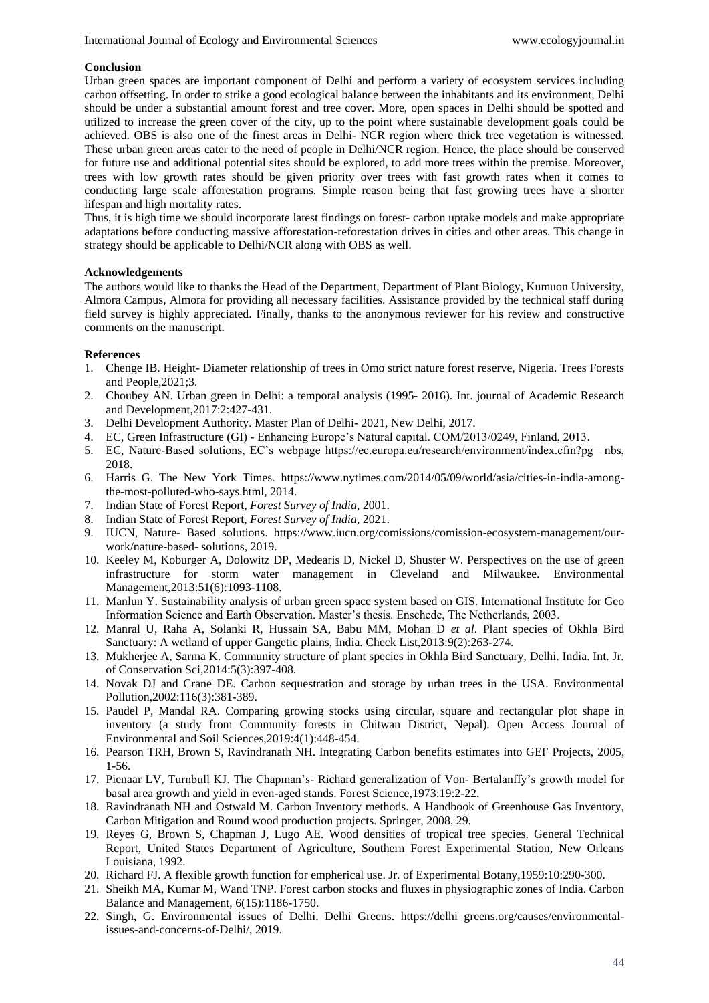# **Conclusion**

Urban green spaces are important component of Delhi and perform a variety of ecosystem services including carbon offsetting. In order to strike a good ecological balance between the inhabitants and its environment, Delhi should be under a substantial amount forest and tree cover. More, open spaces in Delhi should be spotted and utilized to increase the green cover of the city, up to the point where sustainable development goals could be achieved. OBS is also one of the finest areas in Delhi- NCR region where thick tree vegetation is witnessed. These urban green areas cater to the need of people in Delhi/NCR region. Hence, the place should be conserved for future use and additional potential sites should be explored, to add more trees within the premise. Moreover, trees with low growth rates should be given priority over trees with fast growth rates when it comes to conducting large scale afforestation programs. Simple reason being that fast growing trees have a shorter lifespan and high mortality rates.

Thus, it is high time we should incorporate latest findings on forest- carbon uptake models and make appropriate adaptations before conducting massive afforestation-reforestation drives in cities and other areas. This change in strategy should be applicable to Delhi/NCR along with OBS as well.

# **Acknowledgements**

The authors would like to thanks the Head of the Department, Department of Plant Biology, Kumuon University, Almora Campus, Almora for providing all necessary facilities. Assistance provided by the technical staff during field survey is highly appreciated. Finally, thanks to the anonymous reviewer for his review and constructive comments on the manuscript.

# **References**

- 1. Chenge IB. Height- Diameter relationship of trees in Omo strict nature forest reserve, Nigeria. Trees Forests and People,2021;3.
- 2. Choubey AN. Urban green in Delhi: a temporal analysis (1995- 2016). Int. journal of Academic Research and Development,2017:2:427-431.
- 3. Delhi Development Authority. Master Plan of Delhi- 2021, New Delhi, 2017.
- 4. EC, Green Infrastructure (GI) Enhancing Europe's Natural capital. COM/2013/0249, Finland, 2013.
- 5. EC, Nature-Based solutions, EC's webpage https://ec.europa.eu/research/environment/index.cfm?pg= nbs, 2018.
- 6. Harris G. The New York Times. https://www.nytimes.com/2014/05/09/world/asia/cities-in-india-amongthe-most-polluted-who-says.html, 2014.
- 7. Indian State of Forest Report, *Forest Survey of India*, 2001.
- 8. Indian State of Forest Report, *Forest Survey of India*, 2021.
- 9. IUCN, Nature- Based solutions. https://www.iucn.org/comissions/comission-ecosystem-management/ourwork/nature-based- solutions, 2019.
- 10. Keeley M, Koburger A, Dolowitz DP, Medearis D, Nickel D, Shuster W. Perspectives on the use of green infrastructure for storm water management in Cleveland and Milwaukee. Environmental Management,2013:51(6):1093-1108.
- 11. Manlun Y. Sustainability analysis of urban green space system based on GIS. International Institute for Geo Information Science and Earth Observation. Master's thesis. Enschede, The Netherlands, 2003.
- 12. Manral U, Raha A, Solanki R, Hussain SA, Babu MM, Mohan D *et al*. Plant species of Okhla Bird Sanctuary: A wetland of upper Gangetic plains, India. Check List,2013:9(2):263-274.
- 13. Mukherjee A, Sarma K. Community structure of plant species in Okhla Bird Sanctuary, Delhi. India. Int. Jr. of Conservation Sci,2014:5(3):397-408.
- 14. Novak DJ and Crane DE. Carbon sequestration and storage by urban trees in the USA. Environmental Pollution,2002:116(3):381-389.
- 15. Paudel P, Mandal RA. Comparing growing stocks using circular, square and rectangular plot shape in inventory (a study from Community forests in Chitwan District, Nepal). Open Access Journal of Environmental and Soil Sciences,2019:4(1):448-454.
- 16. Pearson TRH, Brown S, Ravindranath NH. Integrating Carbon benefits estimates into GEF Projects, 2005, 1-56.
- 17. Pienaar LV, Turnbull KJ. The Chapman's- Richard generalization of Von- Bertalanffy's growth model for basal area growth and yield in even-aged stands. Forest Science,1973:19:2-22.
- 18. Ravindranath NH and Ostwald M. Carbon Inventory methods. A Handbook of Greenhouse Gas Inventory, Carbon Mitigation and Round wood production projects. Springer, 2008, 29.
- 19. Reyes G, Brown S, Chapman J, Lugo AE. Wood densities of tropical tree species. General Technical Report, United States Department of Agriculture, Southern Forest Experimental Station, New Orleans Louisiana, 1992.
- 20. Richard FJ. A flexible growth function for empherical use. Jr. of Experimental Botany,1959:10:290-300.
- 21. Sheikh MA, Kumar M, Wand TNP. Forest carbon stocks and fluxes in physiographic zones of India. Carbon Balance and Management, 6(15):1186-1750.
- 22. Singh, G. Environmental issues of Delhi. Delhi Greens. https://delhi greens.org/causes/environmentalissues-and-concerns-of-Delhi/, 2019.